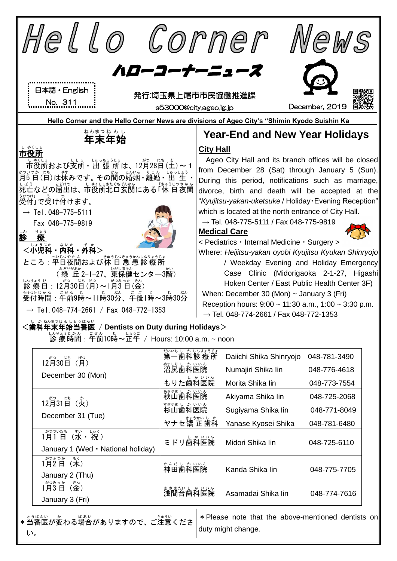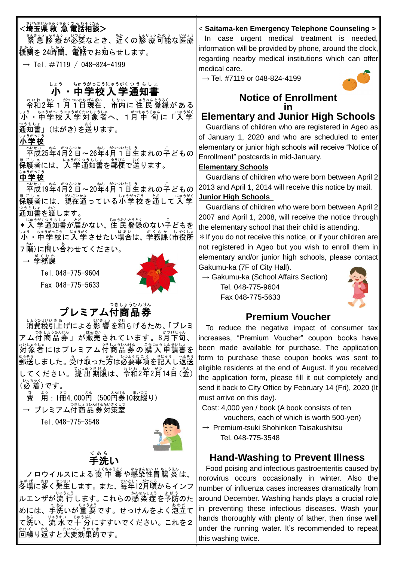| たまけんきゅうきゅうでん わそうだん<br>≤埼玉県 救 急 電話相談>                                                                        | < Saitama-ken Emergency Telephone Counseling >                                                                  |
|-------------------------------------------------------------------------------------------------------------|-----------------------------------------------------------------------------------------------------------------|
|                                                                                                             | In case urgent medical treatment is needed,                                                                     |
| まゕ。<br>機関を 24時間、電話でお知らせします。                                                                                 | information will be provided by phone, around the clock,                                                        |
| → Tel.#7119 / 048-824-4199                                                                                  | regarding nearby medical institutions which can offer                                                           |
|                                                                                                             | medical care.                                                                                                   |
| ちゅうがっこうにゅうがくつ う ち し ょ<br>しょう                                                                                | $\rightarrow$ Tel. #7119 or 048-824-4199                                                                        |
| 中学校入学通知                                                                                                     | <b>Notice of Enrollment</b>                                                                                     |
| * いゎ゜ <sub>゚</sub> ゕ゜ゕ゚っ <sup>っ</sup> ゕたぉゖ゚ゕ゙゛゛しぉぃ゠゠ゖぅぉヽ゚ぅぅヽ<br><mark>令和2年 1 月 1日現在 、市内に 住 民 登</mark> 録が ある |                                                                                                                 |
| - ちゅうがっこうにゅうがくたいしょうしゃ<br>・中学校入学対象者へ、1月中 旬に<br>にゅうがく<br>「入学                                                  | <b>Elementary and Junior High Schools</b>                                                                       |
| (はがき)を送ります。<br> 知書                                                                                          | Guardians of children who are registered in Ageo as                                                             |
| 小学校                                                                                                         | of January 1, 2020 and who are scheduled to enter                                                               |
| へいせい ねん がつふつか<br>ねん がつついたち う<br>平成25年4月2日~26年4月1日生まれの子どもの                                                   | elementary or junior high schools will receive "Notice of                                                       |
| <sub>こしゃ</sub><br>護者には、入 学通知書を郵便で送ります。                                                                      | Enrollment" postcards in mid-January.                                                                           |
| ちゅうがっこう                                                                                                     | <b>Elementary Schools</b>                                                                                       |
| 中学校<br>へいせい ねん がつふつか<br>ねん がつついたち                                                                           | Guardians of children who were born between April 2<br>2013 and April 1, 2014 will receive this notice by mail. |
| 平成19年4月2日~20年4月1日生まれの子どもの<br>にゅうがく                                                                          | <b>Junior High Schools</b>                                                                                      |
| には、現在通っている小学校を通し<br>て入学                                                                                     | Guardians of children who were born between April 2                                                             |
| 通知書を渡します。<br>うがくつうちしょ<br>じゅうみんとうろく                                                                          | 2007 and April 1, 2008, will receive the notice through                                                         |
| 学 通知書が届かない、住 民 登録のない子どもを                                                                                    | the elementary school that their child is attending.                                                            |
| がくむか しゃくしょ                                                                                                  | * If you do not receive this notice, or if your children are                                                    |
| 階)に問い合わせてください。                                                                                              | not registered in Ageo but you wish to enroll them in                                                           |
| 学務課                                                                                                         | elementary and/or junior high schools, please contact                                                           |
| Tel. 048-775-9604                                                                                           | Gakumu-ka (7F of City Hall).                                                                                    |
| Fax 048-775-5633                                                                                            | $\rightarrow$ Gakumu-ka (School Affairs Section)                                                                |
|                                                                                                             | Tel. 048-775-9604<br>Fax 048-775-5633                                                                           |
| つきしょうひんけん                                                                                                   |                                                                                                                 |
| フレミアム付商品券                                                                                                   | <b>Premium Voucher</b>                                                                                          |
| しょうひぜいひ き あ<br>えいきょう<br>消費税引上げによる影 響を和らげるため、 「 プレミ                                                          | To reduce the negative impact of consumer tax                                                                   |
| アム付商品券」が販売されています。8月下旬、                                                                                      | increases, "Premium Voucher" coupon books have                                                                  |
| こうにゅう しんせいし<br>うひんけん<br>対象者にはプレ<br>ミアム付 商 品 券 の 購 入 申 請書を                                                   | been made available for purchase. The application                                                               |
| ひつよう<br>ゅう。<br> 郵送しました。 受け取った方は必要事項を記入し返送                                                                   | form to purchase these coupon books was sent to                                                                 |
| 、<br>てください。提 出 期限は、令和2年2月14日 (金)                                                                            | eligible residents at the end of August. If you received                                                        |
| 。。。。。<br>( <b>必 着)です。</b>                                                                                   | the application form, please fill it out completely and                                                         |
| まいつづ<br>えんけん<br>えん                                                                                          | send it back to City Office by February 14 (Fri), 2020 (It                                                      |
| 用:1冊4,000円 (500円券10枚綴り)<br>→ プレミアム付商品券対策室<br>→ プレミアム付商品券対策室                                                 | must arrive on this day).<br>Cost: 4,000 yen / book (A book consists of ten                                     |
|                                                                                                             | vouchers, each of which is worth 500-yen)                                                                       |
| Tel. 048-775-3548                                                                                           | $\rightarrow$ Premium-tsuki Shohinken Taisakushitsu                                                             |
|                                                                                                             | Tel. 048-775-3548                                                                                               |
| てあら                                                                                                         |                                                                                                                 |
| 手洗い                                                                                                         | <b>Hand-Washing to Prevent Illness</b>                                                                          |
| ノロウイルスによる食 中 毒や感染性胃腸 炎は、                                                                                    | Food poising and infectious gastroenteritis caused by                                                           |
| ※『場に夢く発生します。また、毎年12月頃からインフ                                                                                  | norovirus occurs occasionally in winter. Also the                                                               |
| ルエンザが流 行します。 これらの感染症を予防のた                                                                                   | number of influenza cases increases dramatically from<br>around December. Washing hands plays a crucial role    |
| <br> めには、手洗いが重 要です。せっけんをよく泡立て                                                                               |                                                                                                                 |
|                                                                                                             |                                                                                                                 |
| て洗い、流 水で十 分にすすいでください。これを2                                                                                   | in preventing these infectious diseases. Wash your<br>hands thoroughly with plenty of lather, then rinse well   |

this washing twice.

灬 < 〟 ☆ 。 。 。 。 。 。<br>回繰り返すと大変効果的です。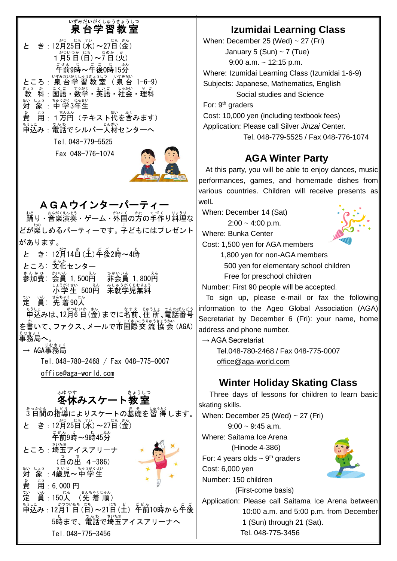# い<sub>ずみだいがくしゅうきょうしつ</sub>

| がつ<br>にち すい<br>にち<br>きん                  |
|------------------------------------------|
| き: 12月25日 (水) ~27日 (金)<br>亠              |
| がついつか<br>にち なのか<br>か                     |
| 1月5日(日)~7日(火)                            |
| ごぜん じっこごご<br>じ ふん                        |
| 午前9時~午後0時15分                             |
| いずみだいがくしゅうきょうしつ<br>いずみだい                 |
| ところ : 泉 台学 習 教 室 (泉 台 1-6-9)             |
| きょう<br>か<br>教                            |
|                                          |
| ちゅうがく                                    |
|                                          |
| よう<br>、<br>用 : 1方円(テキスト代を含みます)<br>。<br>費 |
|                                          |
| <u>ょっ</u><br>申込み : 電話でシルバー人材センターへ        |
|                                          |
| Tel.048-779-5525                         |
|                                          |

Fax 048-776-1074



AGAウインターパーティー <sub>おど</sub><br>踊り • 音楽演奏 • ゲーム • 外国の方の手作り料理な どが楽 たの しめるパーティーです。子 こ どもにはプレゼント があります。 と き: 12月14日(土)年後2時~4時 ところ: 文化センター まんかひ、 かいん<br>**参加費:会員 1,500円** 。<br>非会員 1,800円 しょうがくせい<br>**小学生 500円 未就学児無料** 〜<br>定 眞:先 着90人 もうしこ<br>申込みは、12月6 日(金)までに名前、住 所、電話番号 を書いて、ファクス、メールで市国際交 流 協会 (AGA) <sub>じむきょく</sub><br>事務局へ。 → AGA事務局 じむきょく

Tel.048-780-2468 / Fax 048-775-0007

[office@aga-world.com](mailto:office@aga-world.com)

# <u>。ゅゃ</u>ォ<br>**冬休みスケート教室**

3 日 みっか 間 かん の指導 しどう によりスケートの基礎 き そ を習 得 しゅうとく します。 と き : 12月25日(水)~27日(金) <sub>ごぜん じ</sub> 。。<br>午前9時~9時45分 ところ : 埼玉アイスアリーナ (日の出 4−386) たい しょう ― きぃじ ― <sup>ちゅうがくせい</sup><br>対 象 :4歳児〜中学生 。<br>費 ょぅ<br>用:6, 000 円 定 てい 。<br>眞:150人 (先 着 順) もうに。<br>申込み : 12月1 日 (日)~21日 (土) 「午前10時から午後 。。<br>5時まで、電話で埼玉アイスアリーナへ Tel.048-775-3456

### **Izumidai Learning Class**

When: December 25 (Wed)  $\sim$  27 (Fri) January 5 (Sun)  $\sim$  7 (Tue) 9:00 a.m. ~ 12:15 p.m. Where: Izumidai Learning Class (Izumidai 1-6-9) Subjects: Japanese, Mathematics, English Social studies and Science For: 9<sup>th</sup> graders Cost: 10,000 yen (including textbook fees) Application: Please call Silver *Jinzai* Center. Tel. 048-779-5525 / Fax 048-776-1074

## **AGA Winter Party**

At this party, you will be able to enjoy dances, music performances, games, and homemade dishes from various countries. Children will receive presents as well**.**

When: December 14 (Sat)  $2:00 - 4:00$  p.m.

Where: Bunka Center



Cost: 1,500 yen for AGA members

1,800 yen for non-AGA members 500 yen for elementary school children Free for preschool children

Number: First 90 people will be accepted.

To sign up, please e-mail or fax the following information to the Ageo Global Association (AGA) Secretariat by December 6 (Fri): your name, home address and phone number.

 $\rightarrow$  AGA Secretariat

Tel.048-780-2468 / Fax 048-775-0007 [office@aga-world.com](mailto:office@aga-world.com)

## **Winter Holiday Skating Class**

Three days of lessons for children to learn basic skating skills.

When: December 25 (Wed)  $\sim$  27 (Fri)  $9:00 \sim 9:45$  a.m. Where: Saitama Ice Arena (Hinode 4-386) For: 4 years olds  $\sim$  9<sup>th</sup> graders

Cost: 6,000 yen Number: 150 children

(First-come basis)

Application: Please call Saitama Ice Arena between 10:00 a.m. and 5:00 p.m. from December 1 (Sun) through 21 (Sat). Tel. 048-775-3456